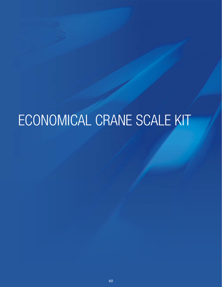# ECONOMICAL CRANE SCALE KIT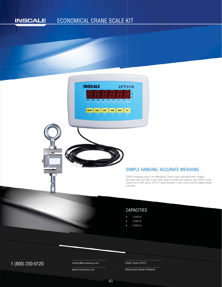#### ECONOMICAL CRANE SCALE KIT **INSCALE**



#### SIMPLE HANGING, ACCURATE WEIGHING

200HS hanging scale is an affordable crane scale calibrated with a highly accurate load cell with 2 eye-bolts. Easy to install and operate, the 200HS crane scales come with about 19 ft of cable between crane scale and the digital weight

## CAPACITIES

- 1,000 lb
- 3,000 lb
- 5,000 lb

## $1 (800) 230-0120$  Contact@inscaleusa.com CAGE Code 07GT5

contact@inscaleusa.com

www.inscaleusa.com

Nationwide Dealer Network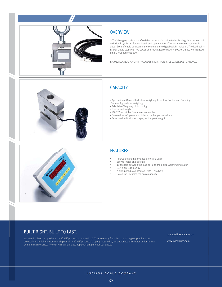

#### **OVERVIEW**

200HS hanging scale is an affordable crane scale calibrated with a highly accurate load cell with 2 eye-bolts. Easy to install and operate, the 200HS crane scales come with about 19 ft of cable between crane scale and the digital weight indicator. The load cell is Nickel plated tool steel. AC power and rechargeable battery. 3000 x 0.5 lb. Normal lead time 1 to 2 business days

LP7912 ECONOMICAL KIT INCLUDES INDICATOR, S-CELL, EYEBOLTS AND Q.D.

#### **CAPACITY**

· Applications- General Industrial Weighing, Inventory Control and Counting, General Agricultural Weighing

· Selectable Weighing Units: lb, kg

- · Tare for net weight
- · RS-232 for printer / computer connection
- · Powered via AC power and internal rechargeable battery
- · Peak Hold Indicator for display of the peak weight



#### FEATURES

- Affordable and highly accurate crane scale
- Easy to install and operate
- 19 ft cable between the load cell and the digital weighing indicator
- 0.8" high LED display
- Nickel plated steel load cell with 2 eye bolts
- Rated for 1.5 times the scale capacity

#### BUILT RIGHT. BUILT TO LAST.

We stand behind our products. INSCALE products come with a 3-Year Warranty from the date of original purchase on defects in material and workmanship for all INSCALE products properly installed by an authorized distributor under normal use and maintenance. We carry all standardized replacement parts for our bases.

contact@inscaleusa.com

www.inscaleusa.com

INDIANA SCALE COMPANY